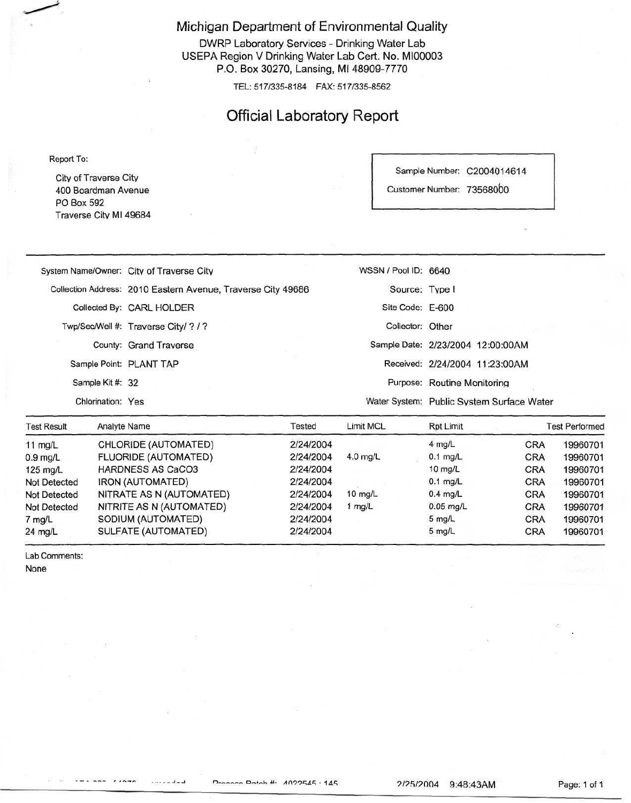Michigan Department of Environmental Quality

DWRP Laboratory Services - Drinking Water Lab USEPA Region V Drinking Water Lab Cert. No. MI00003 P.O. Box 30270, Lansing, Ml 48909-7770

TEL: 517/335-8184 FAX: 517/335-8562

## Official Laboratory Report

Report To:

City of Traverse Citv 400 Boardman Avenue PO Box 592 Traverse Citv Ml 49684 Sample Number: C2004014614

Customer Number: 73568000

|                         | System Name/Owner: City of Traverse City                     | WSSN / Pool ID: 6640 |                                           |  |
|-------------------------|--------------------------------------------------------------|----------------------|-------------------------------------------|--|
|                         | Collection Address: 2010 Eastern Avenue, Traverse City 49686 | Source: Type I       |                                           |  |
|                         | Collected By: CARL HOLDER                                    | Site Code: E-600     |                                           |  |
|                         | Twp/Sec/Well #: Traverse City/ ? / ?                         | Collector: Other     |                                           |  |
|                         | County: Grand Traverse                                       |                      | Sample Date: 2/23/2004 12:00:00AM         |  |
| Sample Point: PLANT TAP |                                                              |                      | Received: 2/24/2004 11:23:00AM            |  |
| Sample Kit #: 32        |                                                              |                      | Purpose: Routine Monitoring               |  |
| Chlorination: Yes       |                                                              |                      | Water System: Public System Surface Water |  |
|                         |                                                              |                      |                                           |  |

| <b>Test Result</b>  | <b>Analyte Name</b>         | Tested    | Limit MCL         | Rot Limit         |            | <b>Test Performed</b> |
|---------------------|-----------------------------|-----------|-------------------|-------------------|------------|-----------------------|
| 11 $mg/L$           | CHLORIDE (AUTOMATED)        | 2/24/2004 |                   | $4$ mg/L          | <b>CRA</b> | 19960701              |
| $0.9$ mg/L          | <b>FLUORIDE (AUTOMATED)</b> | 2/24/2004 | $4.0$ mg/L        | $0.1$ mg/L        | <b>CRA</b> | 19960701              |
| $125 \text{ mg/L}$  | <b>HARDNESS AS CaCO3</b>    | 2/24/2004 |                   | $10$ mg/L         | <b>CRA</b> | 19960701              |
| <b>Not Detected</b> | IRON (AUTOMATED)            | 2/24/2004 |                   | $0.1$ mg/L        | <b>CRA</b> | 19960701              |
| Not Detected        | NITRATE AS N (AUTOMATED)    | 2/24/2004 | $10 \text{ mg/L}$ | $0.4$ mg/L        | <b>CRA</b> | 19960701              |
| <b>Not Detected</b> | NITRITE AS N (AUTOMATED)    | 2/24/2004 | 1 $mg/L$          | $0.05$ mg/L       | <b>CRA</b> | 19960701              |
| 7 mg/L              | SODIUM (AUTOMATED)          | 2/24/2004 |                   | $5 \text{ rad/L}$ | <b>CRA</b> | 19960701              |
| $24$ mg/L           | SULFATE (AUTOMATED)         | 2/24/2004 |                   | $5$ mg/L          | <b>CRA</b> | 19960701              |

Lab Comments:

None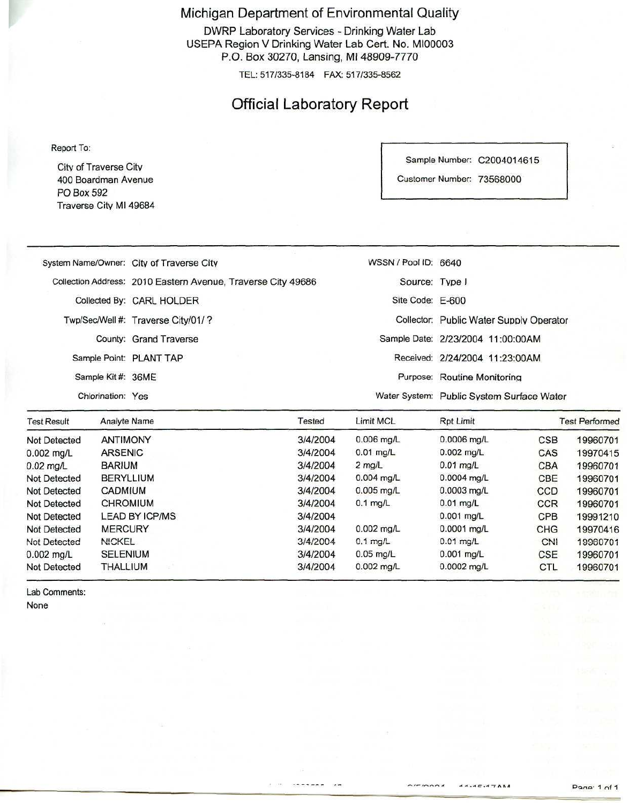Michigan Department of Environmental Quality

DWRP Laboratory Services - Drinking Water Lab USEPA Region V Drinking Water Lab Cert. No. MI00003 P.O. Box 30270, Lansing, Ml 48909-7770

TEL: 517/335-8184 FAX: 517/335-8562

## Official Laboratory Report

Report To:

Citv of Traverse Citv 400 Boardman Avenue PO Box 592 Traverse City Ml 49684 Sample Number: C2004014615

Customer Number: 73568000

| the company of the company of the company of the company of the company of the company of the company of the company of the company of the company of the company of the company of the company of the company of the company | the contract of the contract of the contract of the contract of the contract of the contract of | and the company of the company of the company of the company of the company of the company of the company of the |                                           |
|-------------------------------------------------------------------------------------------------------------------------------------------------------------------------------------------------------------------------------|-------------------------------------------------------------------------------------------------|------------------------------------------------------------------------------------------------------------------|-------------------------------------------|
|                                                                                                                                                                                                                               | System Name/Owner: City of Traverse City                                                        | WSSN / Pool ID: 6640                                                                                             |                                           |
|                                                                                                                                                                                                                               | Collection Address: 2010 Eastern Avenue, Traverse City 49686                                    | Source: Type I                                                                                                   |                                           |
|                                                                                                                                                                                                                               | Collected By: CARL HOLDER                                                                       | Site Code: E-600                                                                                                 |                                           |
|                                                                                                                                                                                                                               | Twp/Sec/Well #: Traverse City/01/?                                                              |                                                                                                                  | Collector: Public Water Supply Operator   |
|                                                                                                                                                                                                                               | County: Grand Traverse                                                                          |                                                                                                                  | Sample Date: 2/23/2004 11:00:00AM         |
| Sample Point: PLANT TAP                                                                                                                                                                                                       |                                                                                                 |                                                                                                                  | Received: 2/24/2004 11:23:00AM            |
| Sample Kit #: 36ME                                                                                                                                                                                                            |                                                                                                 |                                                                                                                  | Purpose: Routine Monitoring               |
| Chlorination: Yes                                                                                                                                                                                                             |                                                                                                 |                                                                                                                  | Water System: Public System Surface Water |

| <b>Test Result</b> | Analyte Name          | Tested   |              | Rpt Limit     | <b>Test Performed</b> |          |
|--------------------|-----------------------|----------|--------------|---------------|-----------------------|----------|
| Not Detected       | <b>ANTIMONY</b>       | 3/4/2004 | $0.006$ mg/L | 0.0006 mg/L   | <b>CSB</b>            | 19960701 |
| $0.002$ mg/L       | <b>ARSENIC</b>        | 3/4/2004 | $0.01$ mg/L  | $0.002$ mg/L  | CAS                   | 19970415 |
| $0.02$ mg/L        | <b>BARIUM</b>         | 3/4/2004 | $2$ mg/L     | $0.01$ mg/L   | <b>CBA</b>            | 19960701 |
| Not Detected       | BERYLLIUM             | 3/4/2004 | $0.004$ mg/L | $0.0004$ mg/L | CBE                   | 19960701 |
| Not Detected       | CADMIUM               | 3/4/2004 | $0.005$ mg/L | $0.0003$ ma/L | <b>CCD</b>            | 19960701 |
| Not Detected       | <b>CHROMIUM</b>       | 3/4/2004 | $0.1$ mg/L   | $0.01$ mg/L   | <b>CCR</b>            | 19960701 |
| Not Detected       | <b>LEAD BY ICP/MS</b> | 3/4/2004 |              | $0.001$ mg/L  | <b>CPB</b>            | 19991210 |
| Not Detected       | <b>MERCURY</b>        | 3/4/2004 | $0.002$ mg/L | 0.0001 ma/L   | CHG                   | 19970416 |
| Not Detected       | <b>NICKEL</b>         | 3/4/2004 | $0.1$ mg/L   | $0.01$ mg/L   | CNI                   | 19960701 |
| $0.002$ mg/L       | <b>SELENIUM</b>       | 3/4/2004 | $0.05$ mg/L  | $0.001$ ma/L  | <b>CSE</b>            | 19960701 |
| Not Detected       | <b>THALLIUM</b>       | 3/4/2004 | 0.002 mg/L   | $0.0002$ mg/L | <b>CTL</b>            | 19960701 |

Lab Comments: None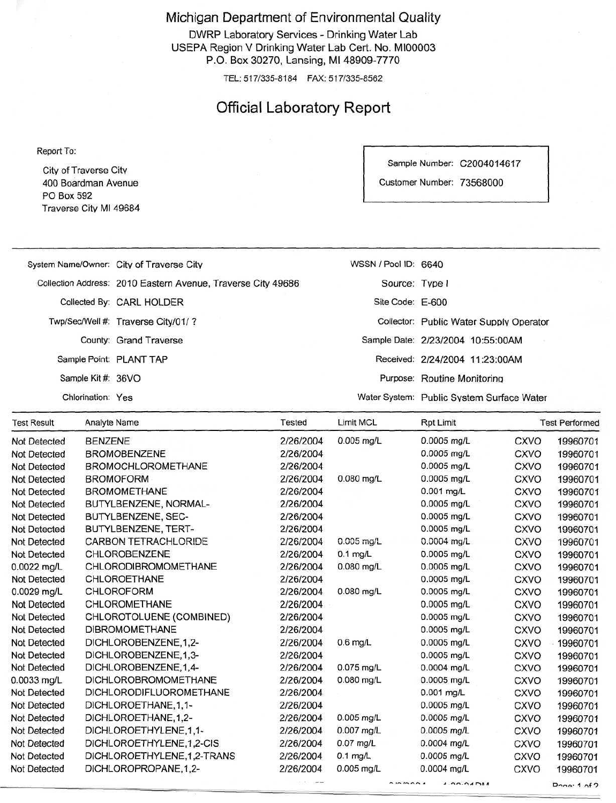Michigan Department of Environmental Quality

DWRP Laboratory Services - Drinking Water Lab USEPA Region V Drinking Water Lab Cert. No. MI00003 P.O. Box 30270, Lansing, Ml 48909-7770

TEL: 517/335-8184 FAX: 517/335-8562

# Official Laboratory Report

Report To:

City of Traverse Citv 400 Boardman Avenue PO Box 592 Traverse Citv Ml 49684 Sample Number: C2004014617

Customer Number: 73568000

| <b>Test Result</b> | Analyte Name            |                                                              | Tested | Limit MCL            | <b>Rpt Limit</b>                          | <b>Test Performed</b> |
|--------------------|-------------------------|--------------------------------------------------------------|--------|----------------------|-------------------------------------------|-----------------------|
|                    | Chlorination: Yes       |                                                              |        |                      | Water System: Public System Surface Water |                       |
|                    | Sample Kit #: 36VO      |                                                              |        |                      | Purpose: Routine Monitoring               |                       |
|                    | Sample Point: PLANT TAP |                                                              |        |                      | Received: 2/24/2004 11:23:00AM            |                       |
|                    |                         | County: Grand Traverse                                       |        |                      | Sample Date: 2/23/2004 10:55:00AM         |                       |
|                    |                         | Twp/Sec/Well #: Traverse City/01/?                           |        |                      | Collector: Public Water Supply Operator   |                       |
|                    |                         | Collected By: CARL HOLDER                                    |        | Site Code: E-600     |                                           |                       |
|                    |                         | Collection Address: 2010 Eastern Avenue, Traverse City 49686 |        | Source: Type I       |                                           |                       |
|                    |                         | System Name/Owner: City of Traverse City                     |        | WSSN / Pool ID: 6640 |                                           |                       |
|                    |                         |                                                              |        |                      |                                           |                       |

| I CSLINGSUIL        | <b>Allalyte Natile</b>      | $1$ corco | <b>LUILING</b> | $NPL$ Link                         |             | <b>I GST Let IOI HIGO</b> |
|---------------------|-----------------------------|-----------|----------------|------------------------------------|-------------|---------------------------|
| Not Detected        | <b>BENZENE</b>              | 2/26/2004 | $0.005$ mg/L   | 0.0005 mg/L                        | <b>CXVO</b> | 19960701                  |
| Not Detected        | <b>BROMOBENZENE</b>         | 2/26/2004 |                | 0.0005 mg/L                        | <b>CXVO</b> | 19960701                  |
| <b>Not Detected</b> | <b>BROMOCHLOROMETHANE</b>   | 2/26/2004 |                | $0.0005$ mg/L                      | <b>CXVO</b> | 19960701                  |
| Not Detected        | <b>BROMOFORM</b>            | 2/26/2004 | 0.080 mg/L     | 0.0005 mg/L                        | <b>CXVO</b> | 19960701                  |
| <b>Not Detected</b> | <b>BROMOMETHANE</b>         | 2/26/2004 |                | $0.001$ mg/L                       | CXVO        | 19960701                  |
| Not Detected        | BUTYLBENZENE, NORMAL-       | 2/26/2004 |                | 0.0005 mg/L                        | <b>CXVO</b> | 19960701                  |
| Not Detected        | BUTYLBENZENE, SEC-          | 2/26/2004 |                | $0.0005$ mg/L                      | <b>CXVO</b> | 19960701                  |
| <b>Not Detected</b> | BUTYLBENZENE, TERT-         | 2/26/2004 |                | $0.0005$ mg/L                      | <b>CXVO</b> | 19960701                  |
| Not Detected        | <b>CARBON TETRACHLORIDE</b> | 2/26/2004 | 0.005 mg/L     | $0.0004$ mg/L                      | <b>CXVO</b> | 19960701                  |
| <b>Not Detected</b> | <b>CHLOROBENZENE</b>        | 2/26/2004 | $0.1$ mg/L     | 0.0005 mg/L                        | <b>CXVO</b> | 19960701                  |
| 0.0022 mg/L         | CHLORODIBROMOMETHANE        | 2/26/2004 | $0.080$ mg/L   | $0.0005$ mg/L                      | <b>CXVO</b> | 19960701                  |
| Not Detected        | CHLOROETHANE                | 2/26/2004 |                | $0.0005$ mg/L                      | <b>CXVO</b> | 19960701                  |
| 0.0029 mg/L         | <b>CHLOROFORM</b>           | 2/26/2004 | $0.080$ mg/L   | 0.0005 mg/L                        | <b>CXVO</b> | 19960701                  |
| <b>Not Detected</b> | CHLOROMETHANE               | 2/26/2004 |                | 0.0005 mg/L                        | <b>CXVO</b> | 19960701                  |
| <b>Not Detected</b> | CHLOROTOLUENE (COMBINED)    | 2/26/2004 |                | 0.0005 mg/L                        | <b>CXVO</b> | 19960701                  |
| <b>Not Detected</b> | <b>DIBROMOMETHANE</b>       | 2/26/2004 |                | 0.0005 mg/L                        | <b>CXVO</b> | 19960701                  |
| <b>Not Detected</b> | DICHLOROBENZENE, 1,2-       | 2/26/2004 | $0.6$ mg/L     | 0.0005 mg/L                        | <b>CXVO</b> | 19960701                  |
| <b>Not Detected</b> | DICHLOROBENZENE.1.3-        | 2/26/2004 |                | 0.0005 mg/L                        | <b>CXVO</b> | 19960701                  |
| Not Detected        | DICHLOROBENZENE, 1, 4-      | 2/26/2004 | 0.075 mg/L     | $0.0004$ mg/L                      | CXVO        | 19960701                  |
| $0.0033$ mg/L       | <b>DICHLOROBROMOMETHANE</b> | 2/26/2004 | $0.080$ mg/L   | $0.0005$ mg/L                      | <b>CXVO</b> | 19960701                  |
| <b>Not Detected</b> | DICHLORODIFLUOROMETHANE     | 2/26/2004 |                | 0.001 mg/L                         | <b>CXVO</b> | 19960701                  |
| Not Detected        | DICHLOROETHANE, 1, 1-       | 2/26/2004 |                | 0.0005 mg/L                        | <b>CXVO</b> | 19960701                  |
| <b>Not Detected</b> | DICHLOROETHANE, 1, 2-       | 2/26/2004 | $0.005$ mg/L   | 0.0005 mg/L                        | <b>CXVO</b> | 19960701                  |
| Not Detected        | DICHLOROETHYLENE, 1, 1-     | 2/26/2004 | $0.007$ mg/L   | $0.0005$ mg/L                      | <b>CXVO</b> | 19960701                  |
| <b>Not Detected</b> | DICHLOROETHYLENE, 1,2-CIS   | 2/26/2004 | $0.07$ mg/L    | 0.0004 mg/L                        | <b>CXVO</b> | 19960701                  |
| <b>Not Detected</b> | DICHLOROETHYLENE, 1,2-TRANS | 2/26/2004 | $0.1$ mg/L     | $0.0005$ mg/L                      | <b>CXVO</b> | 19960701                  |
| <b>Not Detected</b> | DICHLOROPROPANE, 1, 2-      | 2/26/2004 | $0.005$ mg/L   | 0.0004 mg/L                        | <b>CXVO</b> | 19960701                  |
|                     |                             |           |                | $\sum_{n=1}^{\infty}$<br>1.00.0101 |             | $B = 10$                  |